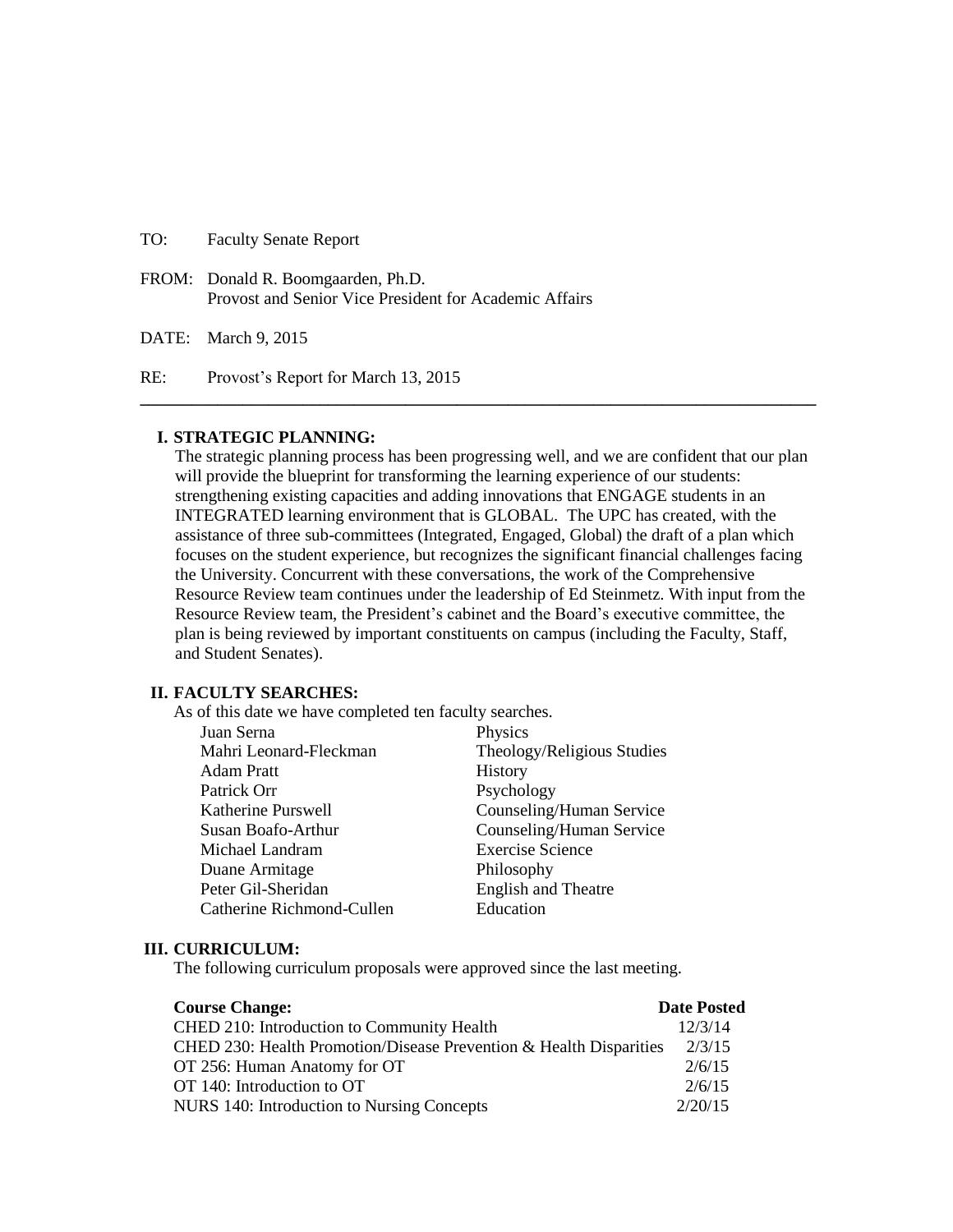### TO: Faculty Senate Report

FROM: Donald R. Boomgaarden, Ph.D. Provost and Senior Vice President for Academic Affairs

DATE: March 9, 2015

RE: Provost's Report for March 13, 2015

#### **I. STRATEGIC PLANNING:**

The strategic planning process has been progressing well, and we are confident that our plan will provide the blueprint for transforming the learning experience of our students: strengthening existing capacities and adding innovations that ENGAGE students in an INTEGRATED learning environment that is GLOBAL. The UPC has created, with the assistance of three sub-committees (Integrated, Engaged, Global) the draft of a plan which focuses on the student experience, but recognizes the significant financial challenges facing the University. Concurrent with these conversations, the work of the Comprehensive Resource Review team continues under the leadership of Ed Steinmetz. With input from the Resource Review team, the President's cabinet and the Board's executive committee, the plan is being reviewed by important constituents on campus (including the Faculty, Staff, and Student Senates).

**\_\_\_\_\_\_\_\_\_\_\_\_\_\_\_\_\_\_\_\_\_\_\_\_\_\_\_\_\_\_\_\_\_\_\_\_\_\_\_\_\_\_\_\_\_\_\_\_\_\_\_\_\_\_\_\_\_\_\_\_\_\_\_\_\_\_\_\_\_\_\_\_\_\_\_\_\_\_\_**

#### **II. FACULTY SEARCHES:**

As of this date we have completed ten faculty searches.

| Juan Serna                | Physics                    |
|---------------------------|----------------------------|
| Mahri Leonard-Fleckman    | Theology/Religious Studies |
| Adam Pratt                | History                    |
| Patrick Orr               | Psychology                 |
| Katherine Purswell        | Counseling/Human Service   |
| Susan Boafo-Arthur        | Counseling/Human Service   |
| Michael Landram           | <b>Exercise Science</b>    |
| Duane Armitage            | Philosophy                 |
| Peter Gil-Sheridan        | <b>English and Theatre</b> |
| Catherine Richmond-Cullen | Education                  |

#### **III. CURRICULUM:**

The following curriculum proposals were approved since the last meeting.

| <b>Course Change:</b>                                              | <b>Date Posted</b> |
|--------------------------------------------------------------------|--------------------|
| CHED 210: Introduction to Community Health                         | 12/3/14            |
| CHED 230: Health Promotion/Disease Prevention & Health Disparities | 2/3/15             |
| OT 256: Human Anatomy for OT                                       | 2/6/15             |
| OT 140: Introduction to OT                                         | 2/6/15             |
| NURS 140: Introduction to Nursing Concepts                         | 2/20/15            |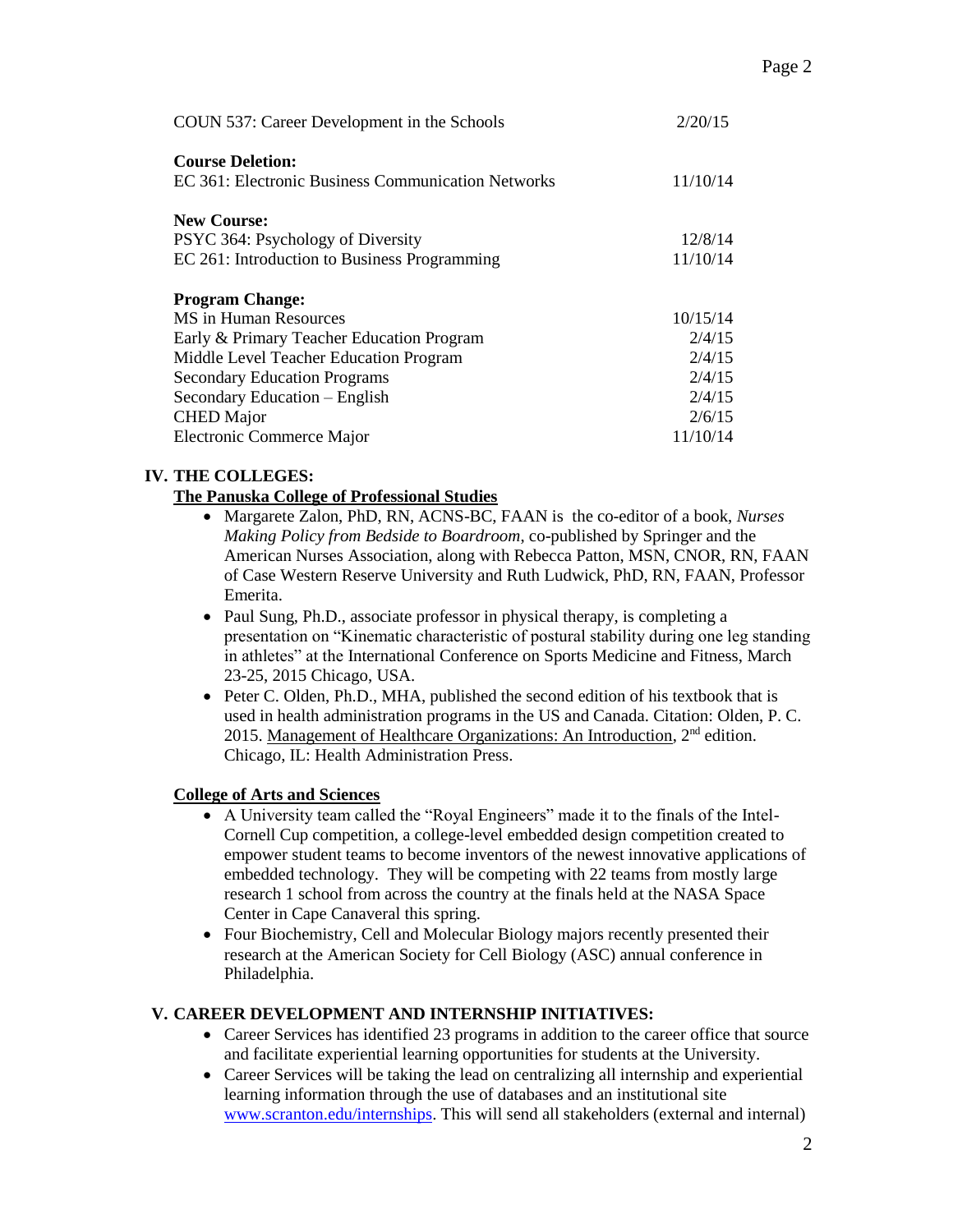| COUN 537: Career Development in the Schools                                   | 2/20/15  |
|-------------------------------------------------------------------------------|----------|
| <b>Course Deletion:</b><br>EC 361: Electronic Business Communication Networks | 11/10/14 |
| <b>New Course:</b>                                                            |          |
| PSYC 364: Psychology of Diversity                                             | 12/8/14  |
| EC 261: Introduction to Business Programming                                  | 11/10/14 |
| <b>Program Change:</b>                                                        |          |
| MS in Human Resources                                                         | 10/15/14 |
| Early & Primary Teacher Education Program                                     | 2/4/15   |
| Middle Level Teacher Education Program                                        | 2/4/15   |
| <b>Secondary Education Programs</b>                                           | 2/4/15   |
| Secondary Education - English                                                 | 2/4/15   |
| <b>CHED</b> Major                                                             | 2/6/15   |
| Electronic Commerce Major                                                     | 11/10/14 |

# **IV. THE COLLEGES:**

## **The Panuska College of Professional Studies**

- Margarete Zalon, PhD, RN, ACNS-BC, FAAN is the co-editor of a book, *Nurses Making Policy from Bedside to Boardroom*, co-published by Springer and the American Nurses Association, along with Rebecca Patton, MSN, CNOR, RN, FAAN of Case Western Reserve University and Ruth Ludwick, PhD, RN, FAAN, Professor Emerita.
- Paul Sung, Ph.D., associate professor in physical therapy, is completing a presentation on "Kinematic characteristic of postural stability during one leg standing in athletes" at the International Conference on Sports Medicine and Fitness, March 23-25, 2015 Chicago, USA.
- Peter C. Olden, Ph.D., MHA, published the second edition of his textbook that is used in health administration programs in the US and Canada. Citation: Olden, P. C. 2015. Management of Healthcare Organizations: An Introduction,  $2<sup>nd</sup>$  edition. Chicago, IL: Health Administration Press.

# **College of Arts and Sciences**

- A University team called the "Royal Engineers" made it to the finals of the Intel-Cornell Cup competition, a college-level embedded design competition created to empower student teams to become inventors of the newest innovative applications of embedded technology. They will be competing with 22 teams from mostly large research 1 school from across the country at the finals held at the NASA Space Center in Cape Canaveral this spring.
- Four Biochemistry, Cell and Molecular Biology majors recently presented their research at the American Society for Cell Biology (ASC) annual conference in Philadelphia.

# **V. CAREER DEVELOPMENT AND INTERNSHIP INITIATIVES:**

- Career Services has identified 23 programs in addition to the career office that source and facilitate experiential learning opportunities for students at the University.
- Career Services will be taking the lead on centralizing all internship and experiential learning information through the use of databases and an institutional site [www.scranton.edu/internships.](http://www.scranton.edu/internships) This will send all stakeholders (external and internal)